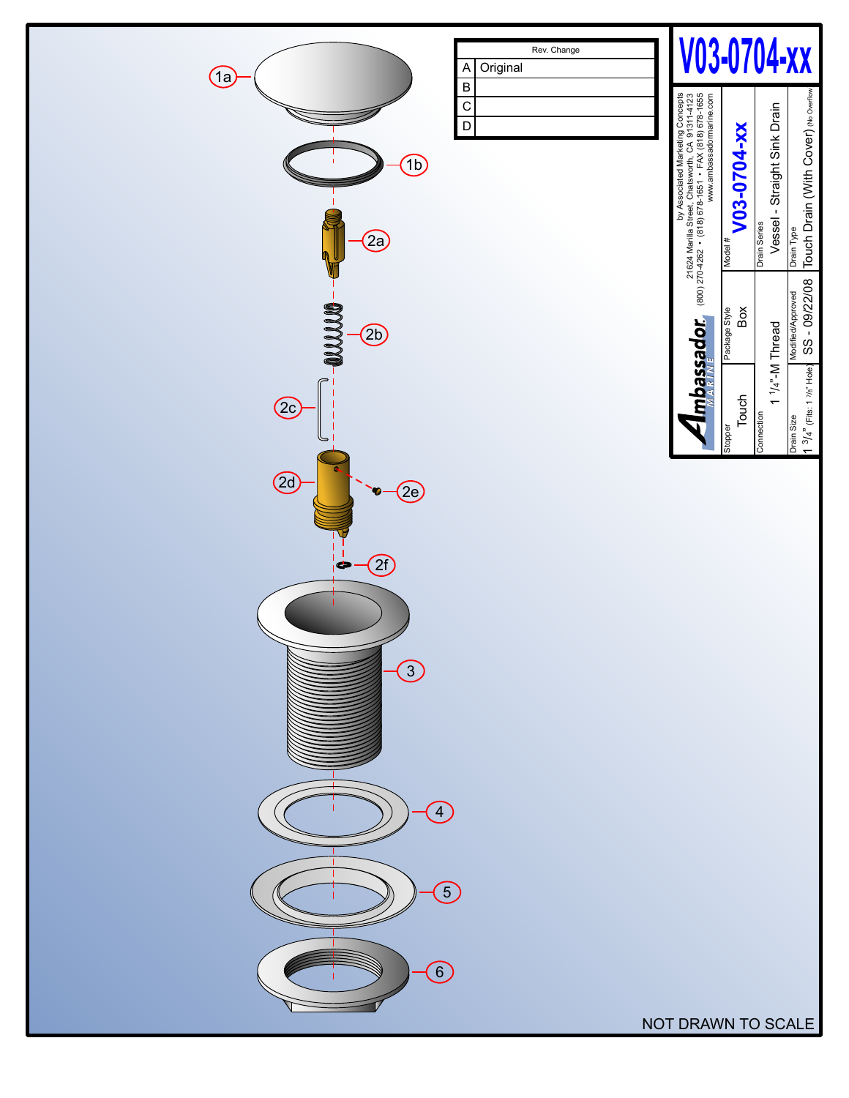